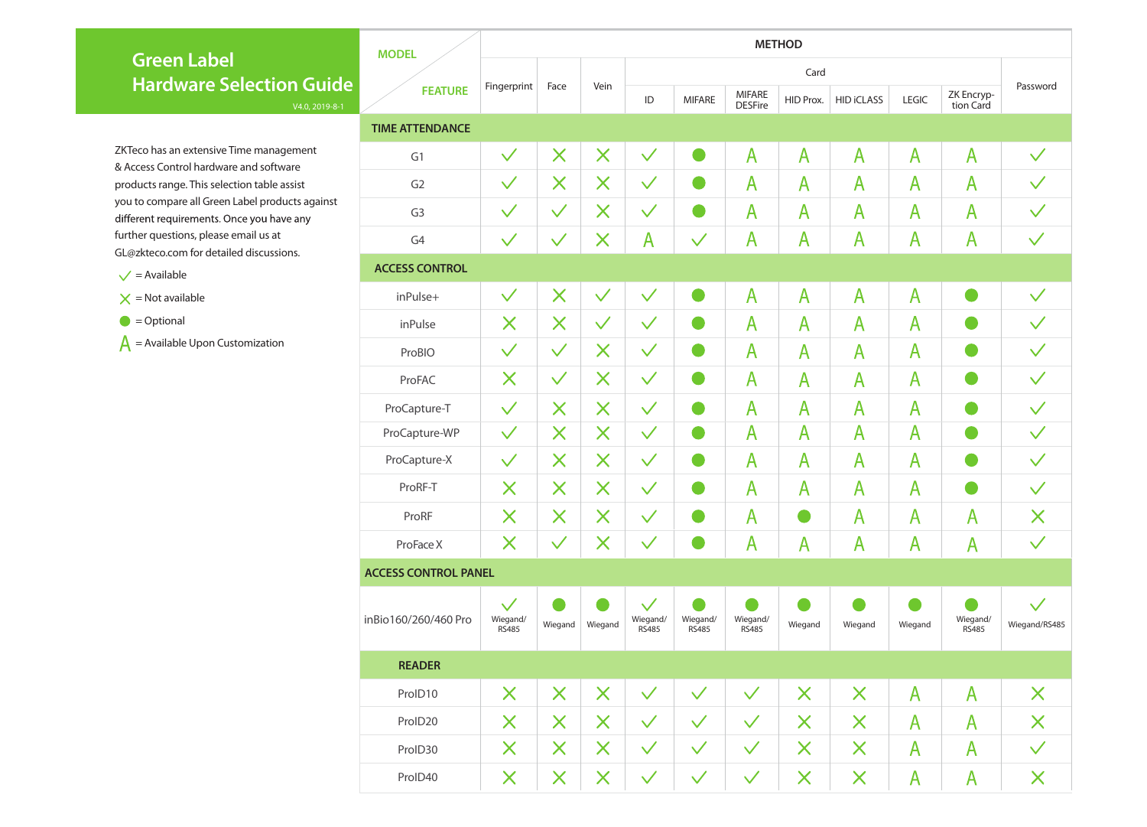| <b>MODEL</b>                |                                          | <b>METHOD</b>           |                         |                                          |                          |                                 |                         |                         |                         |                          |                               |  |  |  |  |
|-----------------------------|------------------------------------------|-------------------------|-------------------------|------------------------------------------|--------------------------|---------------------------------|-------------------------|-------------------------|-------------------------|--------------------------|-------------------------------|--|--|--|--|
|                             |                                          |                         |                         |                                          |                          |                                 |                         |                         |                         |                          |                               |  |  |  |  |
| <b>FEATURE</b>              | Fingerprint                              | Face                    | Vein                    | <b>MIFARE</b><br>ID                      |                          | <b>MIFARE</b><br><b>DESFire</b> | HID Prox.               | <b>HID iCLASS</b>       | <b>LEGIC</b>            | ZK Encryp-<br>tion Card  | Password                      |  |  |  |  |
| <b>TIME ATTENDANCE</b>      |                                          |                         |                         |                                          |                          |                                 |                         |                         |                         |                          |                               |  |  |  |  |
| G1                          | $\checkmark$                             | $\overline{\mathsf{X}}$ | $\times$                | $\checkmark$                             |                          | $\mathsf{A}$                    | $\mathsf{A}$            | $\overline{\mathsf{A}}$ | $\overline{\mathsf{A}}$ | $\mathsf{A}$             | $\checkmark$                  |  |  |  |  |
| G <sub>2</sub>              | $\checkmark$                             | $\times$                | $\times$                | $\checkmark$                             |                          | $\overline{\mathsf{A}}$         | $\overline{\mathsf{A}}$ | $\mathsf{A}$            | $\mathsf{A}$            | $\mathsf{A}$             | $\checkmark$                  |  |  |  |  |
| G <sub>3</sub>              | $\checkmark$                             | $\checkmark$            | $\times$                | $\checkmark$                             |                          | $\mathsf{A}$                    | $\mathsf{A}$            | A                       | $\mathsf{A}$            | A                        | $\checkmark$                  |  |  |  |  |
| G <sub>4</sub>              | $\checkmark$                             | $\checkmark$            | $\bm{\mathsf{X}}$       | $\overline{\mathsf{A}}$                  | $\checkmark$             | $\overline{\mathsf{A}}$         | $\overline{\mathsf{A}}$ | $\overline{\mathsf{A}}$ | $\overline{\mathsf{A}}$ | $\mathsf{A}$             | $\checkmark$                  |  |  |  |  |
| <b>ACCESS CONTROL</b>       |                                          |                         |                         |                                          |                          |                                 |                         |                         |                         |                          |                               |  |  |  |  |
| inPulse+                    | $\checkmark$                             | $\bm{\times}$           | $\checkmark$            | $\checkmark$                             |                          | $\overline{\mathsf{A}}$         | $\overline{\mathsf{A}}$ | $\overline{\mathsf{A}}$ | $\overline{\mathsf{A}}$ |                          | $\checkmark$                  |  |  |  |  |
| inPulse                     | $\bm{\mathsf{X}}$                        | $\times$                | $\checkmark$            | $\checkmark$                             |                          | $\overline{\mathsf{A}}$         | $\overline{\mathsf{A}}$ | $\overline{\mathsf{A}}$ | $\overline{\mathsf{A}}$ |                          | $\checkmark$                  |  |  |  |  |
| ProBIO                      | $\checkmark$                             | $\checkmark$            | $\times$                | $\checkmark$                             |                          | $\overline{\mathsf{A}}$         | $\mathsf{A}$            | $\overline{\mathsf{A}}$ | $\overline{\mathsf{A}}$ |                          | $\checkmark$                  |  |  |  |  |
| ProFAC                      | $\bm{\mathsf{X}}$                        | $\checkmark$            | $\times$                | $\checkmark$                             |                          | $\overline{\mathsf{A}}$         | $\overline{A}$          | $\overline{\mathsf{A}}$ | $\overline{\mathsf{A}}$ |                          | $\checkmark$                  |  |  |  |  |
| ProCapture-T                | $\checkmark$                             | $\overline{\mathsf{X}}$ | $\times$                | $\checkmark$                             |                          | $\mathsf{A}$                    | $\mathsf{A}$            | $\overline{\mathsf{A}}$ | $\overline{A}$          |                          |                               |  |  |  |  |
| ProCapture-WP               | $\checkmark$                             | X                       | $\times$                | $\checkmark$                             |                          | $\mathsf{A}$                    | $\overline{A}$          | $\mathsf{A}$            | $\overline{A}$          |                          | $\checkmark$                  |  |  |  |  |
| ProCapture-X                | $\checkmark$                             | $\bm{\mathsf{X}}$       | $\times$                | $\checkmark$                             |                          | A                               | $\mathsf{A}$            | $\mathsf{A}$            | $\mathsf{A}$            |                          | $\checkmark$                  |  |  |  |  |
| ProRF-T                     | $\bm{\mathsf{X}}$                        | $\times$                | $\times$                | $\checkmark$                             |                          | $\mathsf{A}$                    | $\mathsf{A}$            | $\overline{\mathsf{A}}$ | $\overline{\mathsf{A}}$ |                          | $\checkmark$                  |  |  |  |  |
| ProRF                       | $\bm{\mathsf{X}}$                        | $\times$                | $\times$                | $\checkmark$                             |                          | $\mathsf{A}$                    |                         | $\overline{\mathsf{A}}$ | $\mathsf{A}$            | $\mathsf{A}$             | X                             |  |  |  |  |
| ProFace X                   | $\times$                                 | $\checkmark$            | $\times$                | $\checkmark$                             |                          | $\mathsf{A}$                    | $\overline{\mathsf{A}}$ | $\mathsf{A}$            | $\overline{\mathsf{A}}$ | $\overline{A}$           | $\checkmark$                  |  |  |  |  |
| <b>ACCESS CONTROL PANEL</b> |                                          |                         |                         |                                          |                          |                                 |                         |                         |                         |                          |                               |  |  |  |  |
| inBio160/260/460 Pro        | $\checkmark$<br>Wiegand/<br><b>RS485</b> | Wiegand                 | Wiegand                 | $\checkmark$<br>Wiegand/<br><b>RS485</b> | Wiegand/<br><b>RS485</b> | Wiegand/<br><b>RS485</b>        | Wiegand                 | Wiegand                 | Wiegand                 | Wiegand/<br><b>RS485</b> | $\checkmark$<br>Wiegand/RS485 |  |  |  |  |
| <b>READER</b>               |                                          |                         |                         |                                          |                          |                                 |                         |                         |                         |                          |                               |  |  |  |  |
| ProID10                     | $\bm{\mathsf{X}}$                        | $\times$                | X                       | $\checkmark$                             | $\checkmark$             | $\checkmark$                    | X                       | $\times$                | $\overline{\mathsf{A}}$ | $\overline{\mathsf{A}}$  | $\bm{\times}$                 |  |  |  |  |
| ProID20                     | $\bm{\mathsf{X}}$                        | $\times$                | $\times$                | $\checkmark$                             | $\checkmark$             | $\checkmark$                    | $\times$                | $\times$                | $\overline{A}$          | $\overline{\mathsf{A}}$  | X                             |  |  |  |  |
| ProID30                     | $\bm{\mathsf{X}}$                        | $\times$                | $\times$                | $\checkmark$                             | $\checkmark$             | $\checkmark$                    | $\times$                | $\times$                | $\overline{\mathsf{A}}$ | $\overline{\mathsf{A}}$  | $\checkmark$                  |  |  |  |  |
| ProID40                     | $\times$                                 | $\bm{\mathsf{X}}$       | $\overline{\mathsf{X}}$ | $\checkmark$                             | $\checkmark$             | $\checkmark$                    | $\times$                | $\sf X$                 | $\overline{\mathsf{A}}$ | $\overline{\mathsf{A}}$  | X                             |  |  |  |  |

ZKTeco has an extensive Time management & Access Control hardware and software products range. This selection table assist you to compare all Green Label products against different requirements. Once you have any further questions, please email us at GL@zkteco.com for detailed discussions.

 $\checkmark$  = Available

 $X =$  Not available

 $\bullet$  = Optional

 $\bf{A}$  = Available Upon Customization

## **Green Label Hardware Selection Guide**

V4.0, 2019-8-1